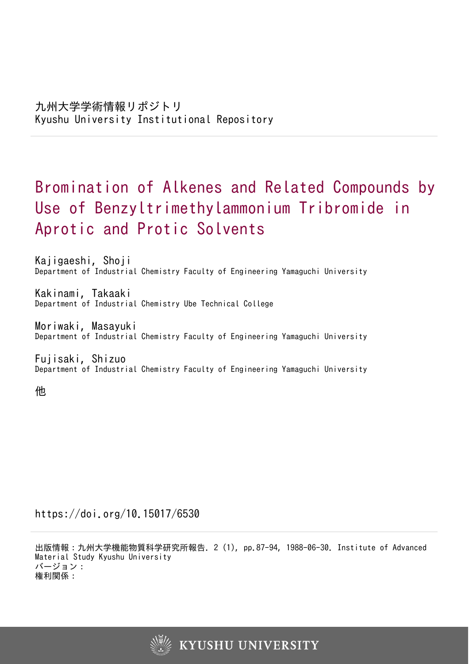# Bromination of Alkenes and Related Compounds by Use of Benzyltrimethylammonium Tribromide in Aprotic and Protic Solvents

Kajigaeshi, Shoji Department of Industrial Chemistry Faculty of Engineering Yamaguchi University

Kakinami, Takaaki Department of Industrial Chemistry Ube Technical College

Moriwaki, Masayuki Department of Industrial Chemistry Faculty of Engineering Yamaguchi University

Fujisaki, Shizuo Department of Industrial Chemistry Faculty of Engineering Yamaguchi University

他

https://doi.org/10.15017/6530

出版情報:九州大学機能物質科学研究所報告. 2 (1), pp.87-94, 1988-06-30. Institute of Advanced Material Study Kyushu University バージョン: 権利関係:

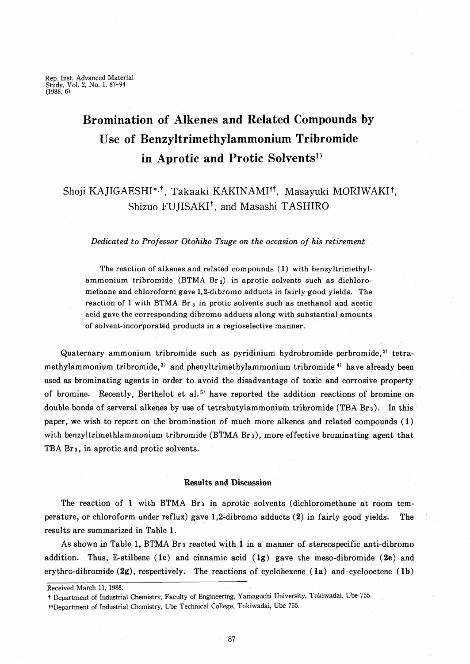Rep. Inst. Advanced Material Study, Vol. 2, No. 1,87-94 (1988. 6)

## Bromination of Alkenes and Related Compounds by Use of Benzyltrimethylammonium Tribromide in Aprotic and Protic Solvents<sup>1)</sup>

### Shoji KAJIGAESHI<sup>\*,†</sup>, Takaaki KAKINAMI<sup>††</sup>, Masayuki MORIWAKI<sup>†</sup>, Shizuo FUJISAKI<sup>†</sup>, and Masashi TASHIRO

#### *Dedicated to Professor Otohiko Tsuge on the occasion of his retirement*

The reaction of alkenes and related compounds (1) with benzyltrimethylammonium tribromide (BTMA  $Br_3$ ) in aprotic solvents such as dichloromethane and chloroform gave 1,2-dibromo adducts in fairly good yields. The reaction of 1 with BTMA  $Br_3$  in protic solvents such as methanol and acetic acid gave the corresponding dibromo adducts along with substantial amounts of solvent-incorporated products in a regioselective manner.

Quaternary ammonium tribromide such as pyridinium hydrobromide perbromide,<sup>2)</sup> tetramethylammonium tribromide,<sup>3)</sup> and phenyltrimethylammonium tribromide<sup>4)</sup> have already been used as brominating agents in order to avoid the disadvantage of toxic and corrosive property of bromine. Recently, Berthelot et al.<sup>5)</sup> have reported the addition reactions of bromine on double bonds of serveral alkenes by use of tetrabutylammonium tribromide (TBA Br<sub>3</sub>). In this paper, we wish to report on the bromination of much more alkenes and related compounds (1) with benzyltrimethlammonium tribromide (BTMA Br<sub>3</sub>), more effective brominating agent that TBA Br<sub>3</sub>, in aprotic and protic solvents.

#### Results and Discussion

The reaction of 1 with BTMA Br<sub>3</sub> in aprotic solvents (dichloromethane at room temperature, or chloroform under reflux) gave 1,2-dibromo adducts (2) in fairly good yields. The results are summarized in Table 1.

As shown in Table, 1, BTMA Br3 reacted with I in a manner of stereospecific anti-dibromo addition. Thus, E-stilbene (1e) and cinnamic acid (1g) gave the meso-dibromide (2e) and erythro-dibromide  $(2g)$ , respectively. The reactions of cyclohexene  $(1a)$  and-cyclooctene  $(1b)$ 

Received March 11, 1988.

ttDepartment of Industrial Chemistry, Ube Technical College, Tokiwadai, Ube 755.

t Department of Industrial Chemistry, Faculty of Engineering, Yamaguchi University, Tokiwadai, Ube 755.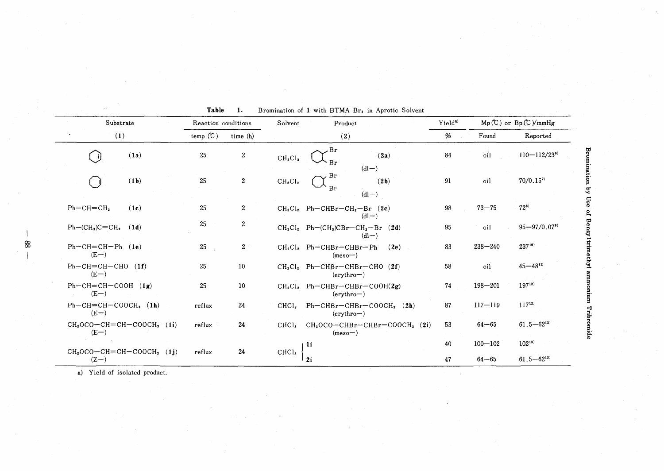| Substrate                            | Reaction conditions |                  | Solvent<br>Product              |                                                      | Yield <sup>a)</sup> | $Mp(C)$ or $Bp(C)/mmHg$ |                                |
|--------------------------------------|---------------------|------------------|---------------------------------|------------------------------------------------------|---------------------|-------------------------|--------------------------------|
| (1)                                  | temp $(C)$          | time (h)         |                                 | (2)                                                  | %                   | Found                   | Reported                       |
| (1a)                                 | 25                  | $\boldsymbol{2}$ | CH <sub>2</sub> Cl <sub>2</sub> | Br<br>(2a)<br><b>Br</b><br>$(d -)$                   | 84                  | oil                     | $110 - 112 / 23$ <sup>6)</sup> |
| (1b)                                 | 25                  | $\boldsymbol{2}$ | CH <sub>2</sub> Cl <sub>2</sub> | Br<br>(2b)<br>Br<br>$dl-)$                           | 91                  | oil                     | $70/0.15$ <sup>7)</sup>        |
| $Ph-CH=CH2$<br>(1c)                  | 25                  | $\boldsymbol{2}$ |                                 | $CH2Cl2$ Ph-CHBr-CH <sub>2</sub> -Br (2c)<br>$(d -)$ | 98                  | $73 - 75$               | $72^{81}$                      |
| $Ph-(CH3)C=CH2$<br>(1d)              | 25                  | $\boldsymbol{2}$ |                                 | $CH2Cl2$ Ph- $(CH3)CBr-CH2$ -Br (2d)<br>$(d -)$      | 95                  | oil                     | $95 - 97/0.07$ <sup>91</sup>   |
| $Ph-CH=CH-Ph$ (1e)<br>$(E-)$         | 25                  | $\mathbf{2}$     |                                 | $CH2Cl2$ Ph-CHBr-CHBr-Ph<br>(2e)<br>$(meso-)$        | 83                  | $238 - 240$             | $237^{10}$                     |
| $Ph-CH=CH-CHO$ (1f)<br>$(E-)$        | 25                  | 10               |                                 | $CH2Cl2$ Ph-CHBr-CHBr-CHO (2f)<br>$($ erythro $ )$   | 58                  | oil                     | $45 - 48^{11}$                 |
| $Ph-CH=CH-COOH$ (1g)<br>$(E-)$       | 25                  | 10               |                                 | $CH_2Cl_2$ Ph-CHBr-CHBr-COOH(2g)<br>$($ erythro $ )$ | 74                  | $198 - 201$             | $197^{12}$                     |
| $Ph-CH=CH-COOCH3$ (1h)<br>$(E-)$     | reflux              | 24               | CHCl <sub>3</sub>               | $Ph-CHBr-CHBr-COOCH3$ (2h)<br>$($ erythro $ )$       | 87                  | $117 - 119$             | $117^{12}$                     |
| $CH3OCO-CH=CH-COOCH3$ (1i)<br>$(E-)$ | reflux              | 24               | CHCl <sub>s</sub>               | $CH3OCO-CHBr-CHBr-COOCH3$ (2i)<br>$(meso-)$          | 53                  | $64 - 65$               | $61.5 - 62^{13}$               |
|                                      |                     |                  |                                 | 1i                                                   | 40                  | $100 - 102$             | $102^{13}$                     |
| $CH3OCO-CH=CH-COOCH3 (1j)$<br>$(Z-)$ | reflux              | 24               | CHCl <sub>3</sub>               | 2i                                                   | 47                  | $64 - 65$               | $61.5 - 62^{13}$               |

**Table** Bromination of 1 with BTMA Br, in Aprotic Solvent  $\blacksquare$ 

a) Yield of isolated product.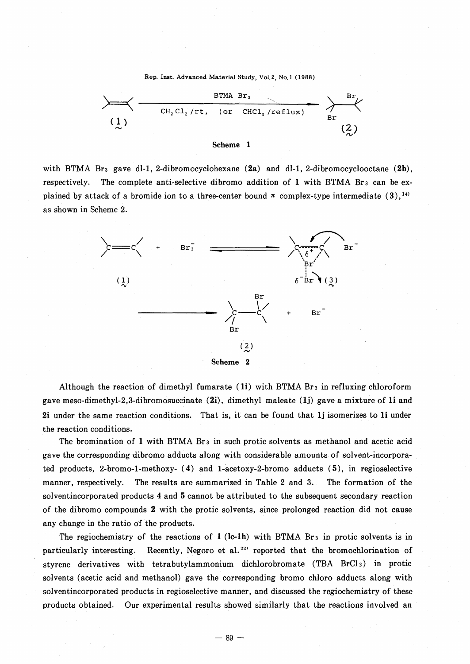Rep. Inst. Advanced Material Study, Vo1.2, No.l (1988)



with BTMA Br<sub>3</sub> gave dl-1, 2-dibromocyclohexane  $(2a)$  and dl-1, 2-dibromocyclooctane  $(2b)$ , respectively. The complete anti-selective dibromo addition of 1 with BTMA Br<sub>3</sub> can be explained by attack of a bromide ion to a three-center bound  $\pi$  complex-type intermediate (3),<sup>14)</sup> as shown in Scheme 2.



Although the reaction of dimethyl fumarate  $(ii)$  with BTMA Br<sub>3</sub> in refluxing chloroform gave meso-dimethyl-2,3-dibromosuccinate  $(2i)$ , dimethyl maleate  $(1j)$  gave a mixture of 1i and **2i** under the same reaction conditions. That is, it can be found that **Ij** isomerizes to 1i under the reaction conditions.

The bromination of 1 with BTMA Br<sub>3</sub> in such protic solvents as methanol and acetic acid gave the corresponding dibromo adducts along with considerable amounts of solvent-incorporated products, 2-bromo-I-methoxy- (4) and l-acetoxy-2-bromo adducts (5), in regioselective manner, respectively. The results are summarized in Table 2 and 3. The formation of the solventincorporated products 4 and 5 cannot be attributed to the subsequent secondary reaction of the dibromo compounds 2 with the protic solvents, since prolonged reaction did not cause any change in the ratio of the products.

The regiochemistry of the reactions of  $1$  (lc-1h) with BTMA Br<sub>3</sub> in protic solvents is in particularly interesting. Recently, Negoro et al.<sup>22)</sup> reported that the bromochlorination of styrene derivatives with tetrabutylammonium dichlorobromate (TBA BrCI2) in protic solvents (acetic acid and methanol) gave the corresponding bromo chloro adducts along with solventincorporated products in regioselective manner, and discussed the regiochemistry of these products obtained. Our experimental results showed similarly that the reactions involved an

 $- 89 -$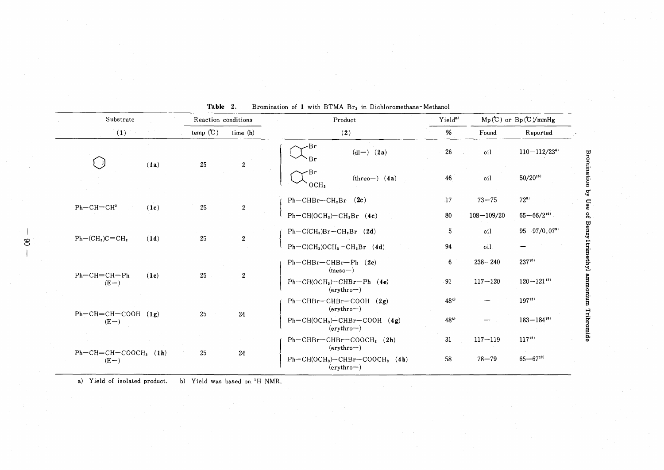| Substrate                          |      | Reaction conditions |                                              | Product                                                                | $Mp(C)$ or $Bp(C)/mmHg$<br>Yield <sup>a</sup> |                              |                              |
|------------------------------------|------|---------------------|----------------------------------------------|------------------------------------------------------------------------|-----------------------------------------------|------------------------------|------------------------------|
| (1)                                |      | temp $(C)$          | time (h)                                     | (2)                                                                    | %                                             | Found                        | Reported                     |
|                                    | (1a) | 25                  | $\boldsymbol{2}$                             | Br<br>$dl-)$ (2a)<br>Br                                                | 26                                            | oil                          | $110 - 112/23$ <sup>6)</sup> |
|                                    |      |                     |                                              | ·Br<br>$(threo-)$ (4a)<br>OCH <sub>3</sub>                             | 46<br>oil                                     | $50/20^{15}$                 |                              |
| $Ph-CH=CH2$                        |      |                     | $\sqrt{2}$                                   | $Ph-CHBr-CH2Br$ (2c)                                                   | 17                                            | $73 - 75$                    | $72^{8}$                     |
|                                    | (1c) | 25                  |                                              | $Ph-CH(OCH3)-CH2Br (4c)$                                               | 80                                            | $108 - 109/20$               | $65 - 66/2^{16}$             |
|                                    |      |                     | $Ph-C(CH3)Br-CH2Br$ (2d)                     | 5                                                                      | oil                                           | $95 - 97/0.07$ <sup>9)</sup> |                              |
| $Ph-(CH3)C=CH2$                    | (1d) | 25                  | $\sqrt{2}$                                   | $Ph-C(CH3)OCH3-CH2Br (4d)$                                             | 94                                            | oil                          |                              |
| $Ph$ – $CH$ = $CH$ – $Ph$          | (1e) | 25                  |                                              | $Ph-CHBr-CHBr-Ph$ (2e)<br>$(meso-)$                                    | 6                                             | $238 - 240$                  | $237^{10}$                   |
| $(E-)$                             |      |                     | $\sqrt{2}$                                   | $Ph-CH(OCH3)$ -CHBr-Ph (4e)<br>$($ erythro $ )$                        | 91                                            | $117 - 120$                  | $120 - 121^{17}$             |
| $Ph-CH=CH-COOH$ (1g)<br>$(E-)$     |      |                     | $Ph-CHBr-CHBr-COOH$ (2g)<br>$($ erythro $ )$ | $48^{b}$                                                               |                                               | $197^{12}$                   |                              |
|                                    |      | 25                  | 24                                           | $Ph-CH(OCH3)-CHBr-COOH$ (4g)<br>$($ erythro $ )$                       | $48^{b}$                                      |                              | $183 - 184^{18}$             |
|                                    |      |                     |                                              | $Ph-CHBr-CHBr-COOCH3$ (2h)                                             | 31                                            | $117 - 119$                  | $117^{12}$                   |
| $Ph-CH=CH-COOCH$ , $(1h)$<br>$(E-$ |      | 25                  | 24                                           | $($ erythro $ )$<br>$Ph-CH(OCH3)-CHBr-COOCH3$ (4h)<br>$($ erythro $ )$ | 58                                            | $78 - 79$                    | $65 - 67^{19}$               |

Table 2. Bromination of 1 with BTMA Br<sub>3</sub> in Dichloromethane-Methanol

a) Yield of isolated product. b) Yield was based on 'H NMR.

 $\mathscr{S}$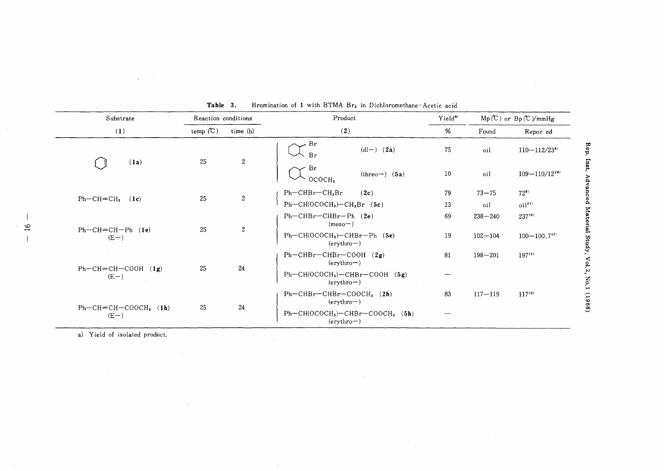|  | Substrate                         | Reaction conditions |                  | Product                                                           | Yield <sup>a)</sup> | $Mp(C)$ or $Bp(C)/mmHg$ |                              |
|--|-----------------------------------|---------------------|------------------|-------------------------------------------------------------------|---------------------|-------------------------|------------------------------|
|  | (1)                               | temp $(C)$          | time (h)         | (2)                                                               | %                   | Found                   | Repor ed                     |
|  |                                   | 25                  | $\boldsymbol{2}$ | Br<br>$(d -) (2a)$<br>Br                                          | 75                  | oil                     | $110 - 112/23$ <sup>6)</sup> |
|  | (1a)                              |                     |                  | Br<br>$(threo-)$ $(5a)$<br>OCOCH,                                 | 10 <sub>1</sub>     | oil                     | $109 - 110 / 12^{20}$        |
|  |                                   | 25                  | $\overline{2}$   | $Ph-CHBr-CH2Br$<br>(2c)                                           | 79                  | $73 - 75$               | $72^{8}$                     |
|  | $Ph-CH=CH2$<br>(1c)               |                     |                  | $Ph-CH(OCOCH3)-CH2Br (5c)$                                        | 13                  | oil                     | $oi$ <sup>21)</sup>          |
|  |                                   |                     |                  | $Ph-CHBr-CHBr-Ph$ (2e)<br>$(meso-)$                               | 69                  | $238 - 240$             | $237^{10}$                   |
|  | $Ph-CH=CH-Ph$ (1e)<br>$(E-)$      | 25                  | $\overline{c}$   | $Ph-CH(OCOCH3)-CHBr-Ph$ (5e)<br>$($ erythro $ )$                  | 19                  | $102 - 104$             | $100 - 100.7$ <sup>17</sup>  |
|  | $Ph-CH=CH-COOH$<br>(1g)<br>$(E-)$ | 25                  | $24\,$           | $Ph-CHBr-CHBr-COOH$ (2g)<br>$($ erythro $ )$                      | 81                  | $198 - 201$             | $197^{12}$                   |
|  |                                   |                     |                  | $Ph-CH(OCOCH3) - CHBr-COOH$ (5g)<br>$($ erythro $ )$              |                     |                         |                              |
|  |                                   | 25                  | 24               | $Ph-CHBr-CHBr-COOCH3$ (2h)<br>$($ erythro $ )$                    | 83                  | $117 - 119$             | $117^{12}$                   |
|  | $Ph-CH=CH-COOCH3$ (1h)<br>$(E-)$  |                     |                  | $Ph-CH(OCOCH3)$ -CHBr-COOCH <sub>3</sub> (5h)<br>$($ erythro $ )$ |                     |                         |                              |

**Table** 3. Bromination of 1 with BTMA Br<sub>3</sub> in Dichloromethane-Acetic acid

a) Yield of isolated product.

c.o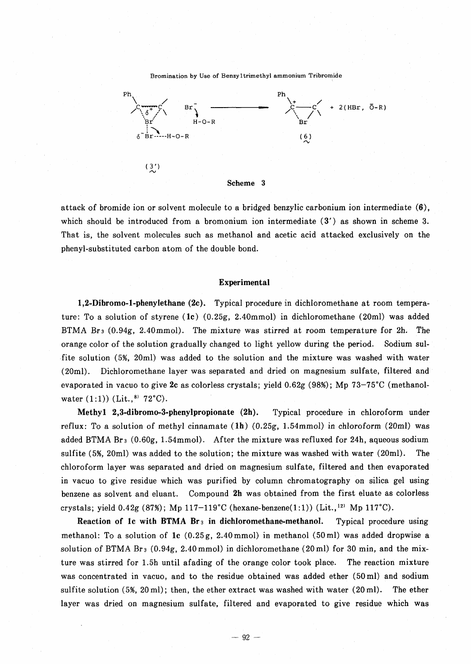Bromination by Use of Benzyltrimethyl ammonium Tribromide



attack of bromide ion or solvent molecule to a bridged benzylic carbonium ion intermediate (6), which should be introduced from a bromonium ion intermediate (3') as shown in scheme 3. That is, the solvent molecules such as methanol and acetic acid attacked exclusively on the phenyl-substituted carbon atom of the double bond.

#### Experimental

1,2-Dibromo-I-phenylethane (2e). Typical procedure in dichloromethane at room temperature: To a solution of styrene  $(1c)$   $(0.25g, 2.40mmol)$  in dichloromethane  $(20ml)$  was added BTMA Br<sub>3</sub> (0.94g, 2.40mmol). The mixture was stirred at room temperature for 2h. The orange color of the solution gradually changed to light yellow during the period. Sodium sulfite solution (5%, 20ml) was added to the solution and the mixture was washed with water (20ml). Dichloromethane layer was separated and dried on magnesium sulfate, filtered and evaporated in vacuo to give 2c as colorless crystals; yield  $0.62g$  (98%); Mp 73-75°C (methanolwater  $(1:1)$ ) (Lit.,  $8$ )  $72^{\circ}$ C).

Methyl 2,3-dibromo-3-phenylpropionate (2h). Typical procedure in chloroform under reflux: To a solution of methyl cinnamate  $(1h)$   $(0.25g, 1.54mmol)$  in chloroform  $(20ml)$  was added BTMA Br<sub>3</sub> (0.60g, 1.54mmol). After the mixture was refluxed for 24h, aqueous sodium sulfite (5%, 20ml) was added to the solution; the mixture was washed with water (20ml). The chloroform layer was separated and dried on magnesium sulfate, filtered and then evaporated in vacuo to give residue which was purified by column chromatography on silica gel using benzene as solvent and eluant. Compound 2h was obtained from the first eluate as colorless crystals; yield  $0.42g$  (87%); Mp 117-119°C (hexane-benzene(1:1)) (Lit.,<sup>12)</sup> Mp 117°C).

Reaction of 1c with BTMA  $Br_3$  in dichloromethane-methanol. Typical procedure using methanol: To a solution of 1c  $(0.25g, 2.40mmol)$  in methanol  $(50ml)$  was added dropwise a solution of BTMA Br3 (0.94g, 2.40mmol) in dichloromethane (20ml) for 30 min, and the mixture was stirred for 1.5h until afading of the orange color took place. The reaction mixture was concentrated in vacuo, and to the residue obtained was added ether  $(50 \text{ ml})$  and sodium sulfite solution (5%, 20 ml); then, the ether extract was washed with water (20 ml). The ether layer was dried on magnesium sulfate, filtered and evaporated to give residue which was

 $-92-$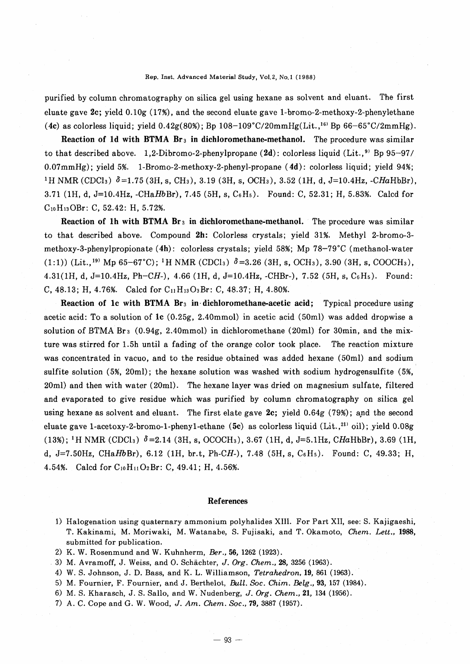#### Rep. Inst. Advanced Material Study, VoI.2, No.! (1988)

purified by column chromatography on silica gel using hexane as solvent and eluant. The first eluate gave 2c; yield 0.10g (17%), and the second eluate gave 1-bromo-2-methoxy-2-phenylethane (4c) as colorless liquid; yield  $0.42g(80%)$ ; Bp  $108-109°C/20mmHg(Lit.,<sup>16)</sup>$  Bp  $66-65°C/2mmHg)$ .

Reaction of 1d with BTMA  $Br_3$  in dichloromethane-methanol. The procedure was similar to that described above. 1,2-Dibromo-2-phenylpropane  $(2d)$ : colorless liquid (Lit.,<sup>9)</sup> Bp 95-97/ 0.07mmHg); yield 5%. 1-Bromo-2-methoxy-2-phenyl-propane (4d): colorless liquid; yield 94%; 1H NMR (CDCla) *0=1.75* (3H, s, CHa), 3.19 (3H, s, OCHa), 3.52 (1H, d, J=10.4Hz, *-CHaHbBr),* 3.71 (1H, d, J=10.4Hz, -CHaHbBr), 7.45 (5H, s, C<sub>6</sub>H<sub>5</sub>). Found: C, 52.31; H, 5.83%. Calcd for CloH130Br: C, 52.42: H, 5.72%.

Reaction of 1h with BTMA  $Br_3$  in dichloromethane-methanol. The procedure was similar to that described above. Compound 2h: Colorless crystals; yield 31%. Methyl 2-bromo-3 methoxy-3-phenylpropionate (4h): colorless crystals; yield 58%; Mp 78-79°C (methanol-water  $(1:1)$ ) (Lit.,<sup>19)</sup> Mp 65–67<sup>°</sup>C); <sup>1</sup>H NMR (CDCl<sub>3</sub>)  $\delta$  =3.26 (3H, s, OCH<sub>3</sub>), 3.90 (3H, s, COOCH<sub>3</sub>), 4.31(1H, d, J=10.4Hz, *Ph-CH-),* 4.66 (1H, d, J=10.4Hz, -CHBr-), 7.52 (5H, s, C6H5). Found: C, 48.13; H, 4.76%. Calcd for  $C_{11}H_{13}O_3Br$ : C, 48.37; H, 4.80%.

Reaction of 1c with BTMA  $Br_3$  in dichloromethane-acetic acid; Typical procedure using acetic acid: To a solution of lc (0.25g, 2.40mmol) in acetic acid (50ml) was added dropwise a solution of BTMA Bra (0.94g, 2.40mmol) in dichloromethane (20ml) for 30min, and the mixture was stirred for 1.5h until a fading of the orange color took place. The reaction mixture was concentrated in vacuo, and to the residue obtained was added hexane (50ml) and sodium sulfite solution (5%, 20ml); the hexane solution was washed with sodium hydrogensulfite (5%, 20ml) and then with water (20ml). The hexane layer was dried on magnesium sulfate, filtered and evaporated to give residue which was purified by column chromatography on silica gel using hexane as solvent and eluant. The first elate gave  $2c$ ; yield 0.64g (79%); and the second eluate gave 1-acetoxy-2-bromo-1-pheny1-ethane (5c) as colorless liquid (Lit., $^{211}$  oil); yield 0.08g (13%); <sup>1</sup>H NMR (CDCl<sub>3</sub>)  $\delta$  = 2.14 (3H, s, OCOCH<sub>3</sub>), 3.67 (1H, d, J=5.1Hz, *CHaHbBr*), 3.69 (1H, d, J=7.50Hz, CHaHbBr), 6.12 (1H, br.t, Ph-CH-), 7.48 (5H, s, C<sub>6</sub>H<sub>5</sub>). Found: C, 49.33; H, 4.54%. Calcd for  $C_{10}H_{11}O_2Br$ : C, 49.41; H, 4.56%.

#### References

- 1) Halogenation using quaternary ammonium polyhalides XIII. For Part XII, see: S. Kajigaeshi, T. Kakinami, M. Moriwaki, M.Watanabe, S. Fujisaki, and T. Okamoto, *Chem. Lett., 1988,* submitted for publication.
- 2) K. W. Rosenmund and W. Kuhnherm, *Ber.,* 56, 1262 (1923).
- 3) M. Avramoff, J. Weiss, and O. Schachter, J. *Org. Chem.,* 28, 3256 (1963).
- 4) W. S. Johnson, J. D. Bass, and K. L. Williamson, *Tetrahedron,* 19, 861 (1963).
- 5) M. Fournier, F. Fournier, and J. Berthelot, *Bull. Soc. Chim. Belg.,* 93, 157 (1984).
- 6) M. S. Kharasch, J. S. Sallo, and W.Nudenberg, J. *Org. Chem.,* 21, 134 (1956).
- 7) A. C. Cope and G. W. Wood, J. *Am. Chem. Soc.,* 79, 3887 (1957).

 $-93-$